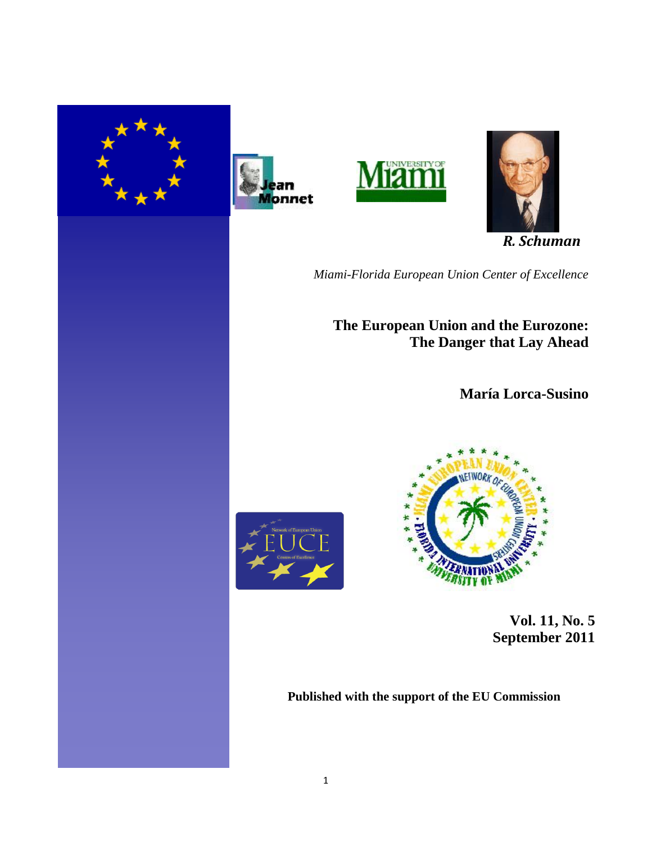







 *R. Schuman*

*Miami-Florida European Union Center of Excellence*

**The European Union and the Eurozone: The Danger that Lay Ahead**

**María Lorca-Susino**





 **Vol. 11, No. 5 September 2011** 

**Published with the support of the EU Commission**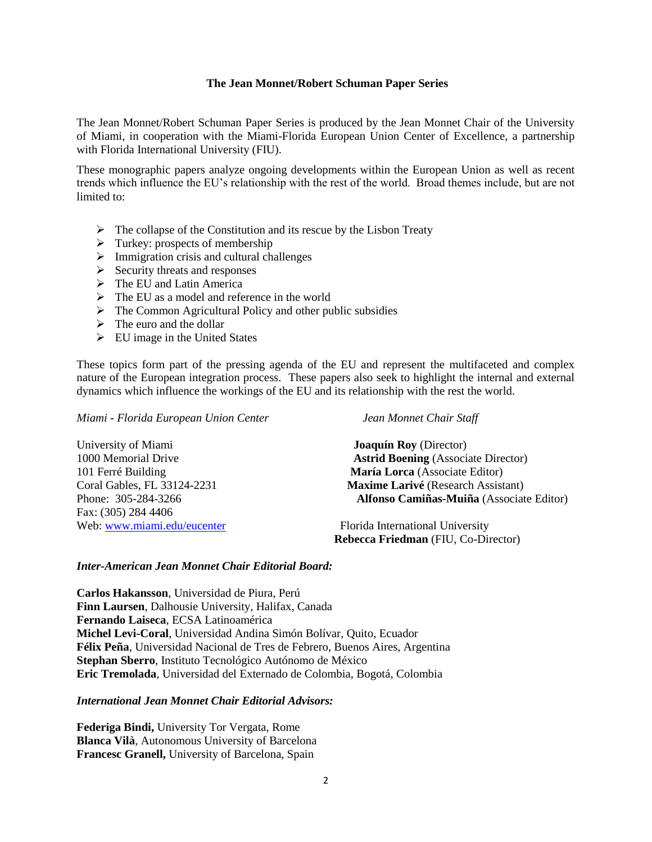## **The Jean Monnet/Robert Schuman Paper Series**

The Jean Monnet/Robert Schuman Paper Series is produced by the Jean Monnet Chair of the University of Miami, in cooperation with the Miami-Florida European Union Center of Excellence, a partnership with Florida International University (FIU).

These monographic papers analyze ongoing developments within the European Union as well as recent trends which influence the EU's relationship with the rest of the world. Broad themes include, but are not limited to:

- $\triangleright$  The collapse of the Constitution and its rescue by the Lisbon Treaty
- $\triangleright$  Turkey: prospects of membership
- $\triangleright$  Immigration crisis and cultural challenges
- $\triangleright$  Security threats and responses
- $\triangleright$  The EU and Latin America
- $\triangleright$  The EU as a model and reference in the world
- $\triangleright$  The Common Agricultural Policy and other public subsidies
- $\triangleright$  The euro and the dollar
- $\triangleright$  EU image in the United States

These topics form part of the pressing agenda of the EU and represent the multifaceted and complex nature of the European integration process. These papers also seek to highlight the internal and external dynamics which influence the workings of the EU and its relationship with the rest the world.

*Miami - Florida European Union Center Jean Monnet Chair Staff*

University of Miami **Joaquín Roy** (Director) Fax: (305) 284 4406 Web: [www.miami.edu/eucenter](http://www.miami.edu/eucenter) Florida International University

1000 Memorial Drive **Astrid Boening** (Associate Director) 101 Ferré Building **María Lorca** (Associate Editor) Coral Gables, FL 33124-2231 **Maxime Larivé** (Research Assistant) Phone: 305-284-3266 **Alfonso Camiñas-Muiña** (Associate Editor)

**Rebecca Friedman** (FIU, Co-Director)

## *Inter-American Jean Monnet Chair Editorial Board:*

**Carlos Hakansson**, Universidad de Piura, Perú **Finn Laursen**, Dalhousie University, Halifax, Canada **Fernando Laiseca**, ECSA Latinoamérica **Michel Levi-Coral**, Universidad Andina Simón Bolívar, Quito, Ecuador **Félix Peña**, Universidad Nacional de Tres de Febrero, Buenos Aires, Argentina **Stephan Sberro**, Instituto Tecnológico Autónomo de México **Eric Tremolada**, Universidad del Externado de Colombia, Bogotá, Colombia

# *International Jean Monnet Chair Editorial Advisors:*

**Federiga Bindi,** University Tor Vergata, Rome **Blanca Vilà**, Autonomous University of Barcelona **Francesc Granell,** University of Barcelona, Spain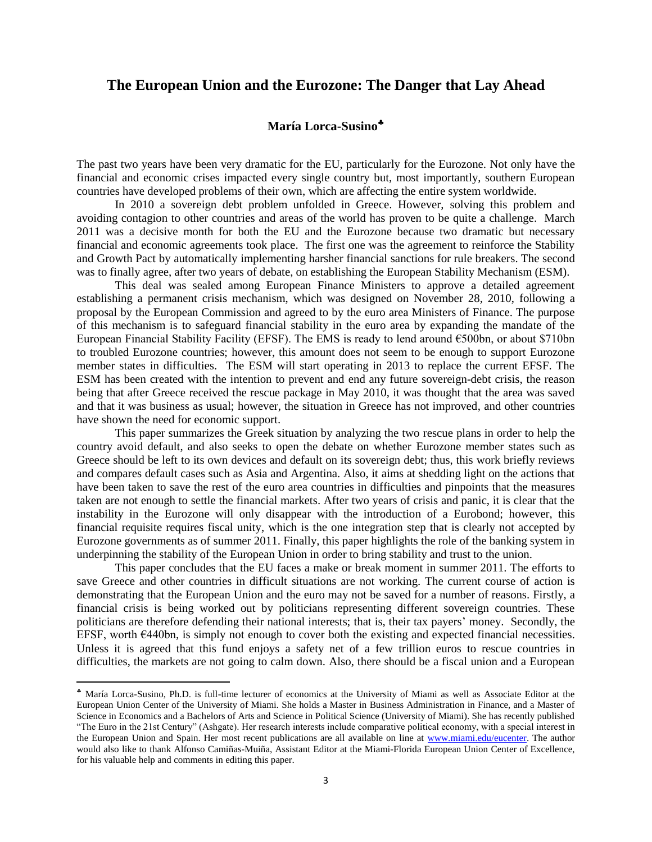# **The European Union and the Eurozone: The Danger that Lay Ahead**

# **María Lorca-Susino**

The past two years have been very dramatic for the EU, particularly for the Eurozone. Not only have the financial and economic crises impacted every single country but, most importantly, southern European countries have developed problems of their own, which are affecting the entire system worldwide.

In 2010 a sovereign debt problem unfolded in Greece. However, solving this problem and avoiding contagion to other countries and areas of the world has proven to be quite a challenge. March 2011 was a decisive month for both the EU and the Eurozone because two dramatic but necessary financial and economic agreements took place. The first one was the agreement to reinforce the Stability and Growth Pact by automatically implementing harsher financial sanctions for rule breakers. The second was to finally agree, after two years of debate, on establishing the European Stability Mechanism (ESM).

This deal was sealed among European Finance Ministers to approve a detailed agreement establishing a permanent crisis mechanism, which was designed on November 28, 2010, following a proposal by the European Commission and agreed to by the euro area Ministers of Finance. The purpose of this mechanism is to safeguard financial stability in the euro area by expanding the mandate of the European Financial Stability Facility (EFSF). The EMS is ready to lend around €500bn, or about \$710bn to troubled Eurozone countries; however, this amount does not seem to be enough to support Eurozone member states in difficulties. The ESM will start operating in 2013 to replace the current EFSF. The ESM has been created with the intention to prevent and end any future sovereign-debt crisis, the reason being that after Greece received the rescue package in May 2010, it was thought that the area was saved and that it was business as usual; however, the situation in Greece has not improved, and other countries have shown the need for economic support.

This paper summarizes the Greek situation by analyzing the two rescue plans in order to help the country avoid default, and also seeks to open the debate on whether Eurozone member states such as Greece should be left to its own devices and default on its sovereign debt; thus, this work briefly reviews and compares default cases such as Asia and Argentina. Also, it aims at shedding light on the actions that have been taken to save the rest of the euro area countries in difficulties and pinpoints that the measures taken are not enough to settle the financial markets. After two years of crisis and panic, it is clear that the instability in the Eurozone will only disappear with the introduction of a Eurobond; however, this financial requisite requires fiscal unity, which is the one integration step that is clearly not accepted by Eurozone governments as of summer 2011. Finally, this paper highlights the role of the banking system in underpinning the stability of the European Union in order to bring stability and trust to the union.

This paper concludes that the EU faces a make or break moment in summer 2011. The efforts to save Greece and other countries in difficult situations are not working. The current course of action is demonstrating that the European Union and the euro may not be saved for a number of reasons. Firstly, a financial crisis is being worked out by politicians representing different sovereign countries. These politicians are therefore defending their national interests; that is, their tax payers' money. Secondly, the EFSF, worth €440bn, is simply not enough to cover both the existing and expected financial necessities. Unless it is agreed that this fund enjoys a safety net of a few trillion euros to rescue countries in difficulties, the markets are not going to calm down. Also, there should be a fiscal union and a European

María Lorca-Susino, Ph.D. is full-time lecturer of economics at the University of Miami as well as Associate Editor at the European Union Center of the University of Miami. She holds a Master in Business Administration in Finance, and a Master of Science in Economics and a Bachelors of Arts and Science in Political Science (University of Miami). She has recently published ―The Euro in the 21st Century‖ (Ashgate). Her research interests include comparative political economy, with a special interest in the European Union and Spain. Her most recent publications are all available on line at [www.miami.edu/eucenter.](http://www.miami.edu/eucenter) The author would also like to thank Alfonso Camiñas-Muiña, Assistant Editor at the Miami-Florida European Union Center of Excellence, for his valuable help and comments in editing this paper.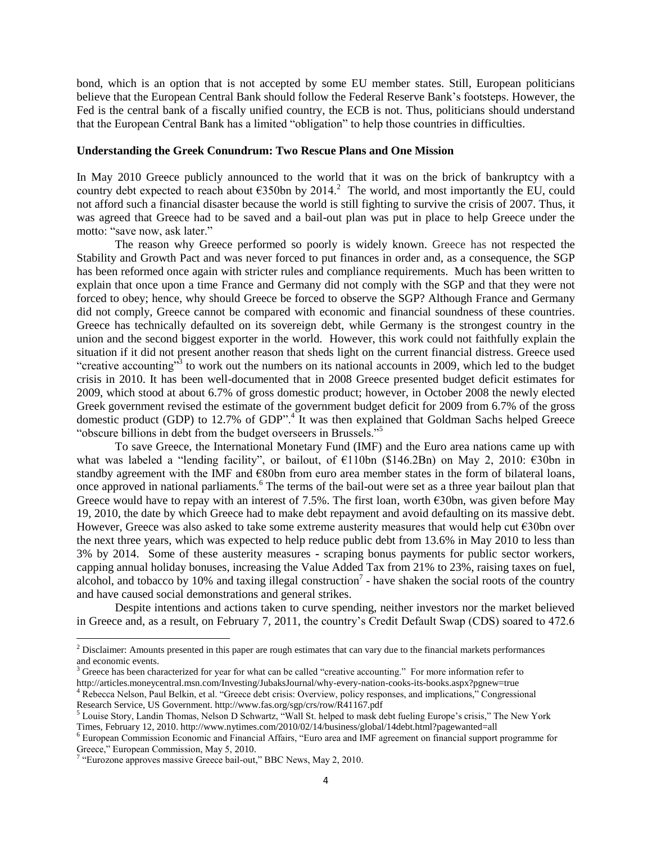bond, which is an option that is not accepted by some EU member states. Still, European politicians believe that the European Central Bank should follow the Federal Reserve Bank's footsteps. However, the Fed is the central bank of a fiscally unified country, the ECB is not. Thus, politicians should understand that the European Central Bank has a limited "obligation" to help those countries in difficulties.

#### **Understanding the Greek Conundrum: Two Rescue Plans and One Mission**

In May 2010 Greece publicly announced to the world that it was on the brick of bankruptcy with a country debt expected to reach about  $\epsilon$ 350bn by 2014.<sup>2</sup> The world, and most importantly the EU, could not afford such a financial disaster because the world is still fighting to survive the crisis of 2007. Thus, it was agreed that Greece had to be saved and a bail-out plan was put in place to help Greece under the motto: "save now, ask later."

The reason why Greece performed so poorly is widely known. Greece has not respected the Stability and Growth Pact and was never forced to put finances in order and, as a consequence, the SGP has been reformed once again with stricter rules and compliance requirements. Much has been written to explain that once upon a time France and Germany did not comply with the SGP and that they were not forced to obey; hence, why should Greece be forced to observe the SGP? Although France and Germany did not comply, Greece cannot be compared with economic and financial soundness of these countries. Greece has technically defaulted on its sovereign debt, while Germany is the strongest country in the union and the second biggest exporter in the world. However, this work could not faithfully explain the situation if it did not present another reason that sheds light on the current financial distress. Greece used "creative accounting"<sup>3</sup> to work out the numbers on its national accounts in 2009, which led to the budget crisis in 2010. It has been well-documented that in 2008 Greece presented budget deficit estimates for 2009, which stood at about 6.7% of gross domestic product; however, in October 2008 the newly elected Greek government revised the estimate of the government budget deficit for 2009 from 6.7% of the gross domestic product (GDP) to 12.7% of GDP".<sup>4</sup> It was then explained that Goldman Sachs helped Greece "obscure billions in debt from the budget overseers in Brussels."<sup>5</sup>

To save Greece, the International Monetary Fund (IMF) and the Euro area nations came up with what was labeled a "lending facility", or bailout, of €110bn (\$146.2Bn) on May 2, 2010: €30bn in standby agreement with the IMF and €80bn from euro area member states in the form of bilateral loans, once approved in national parliaments.<sup>6</sup> The terms of the bail-out were set as a three year bailout plan that Greece would have to repay with an interest of 7.5%. The first loan, worth  $\epsilon$ 30bn, was given before May 19, 2010, the date by which Greece had to make debt repayment and avoid defaulting on its massive debt. However, Greece was also asked to take some extreme austerity measures that would help cut €30bn over the next three years, which was expected to help reduce public debt from 13.6% in May 2010 to less than 3% by 2014. Some of these austerity measures **-** scraping bonus payments for public sector workers, capping annual holiday bonuses, increasing the Value Added Tax from 21% to 23%, raising taxes on fuel, alcohol, and tobacco by 10% and taxing illegal construction<sup>7</sup> - have shaken the social roots of the country and have caused social demonstrations and general strikes.

Despite intentions and actions taken to curve spending, neither investors nor the market believed in Greece and, as a result, on February 7, 2011, the country's Credit Default Swap (CDS) soared to 472.6

<sup>4</sup> Rebecca Nelson, Paul Belkin, et al. "Greece debt crisis: Overview, policy responses, and implications," Congressional Research Service, US Government. http://www.fas.org/sgp/crs/row/R41167.pdf

 $2$  Disclaimer: Amounts presented in this paper are rough estimates that can vary due to the financial markets performances and economic events.

 $3$  Greece has been characterized for year for what can be called "creative accounting." For more information refer to http://articles.moneycentral.msn.com/Investing/JubaksJournal/why-every-nation-cooks-its-books.aspx?pgnew=true

<sup>&</sup>lt;sup>5</sup> Louise Story, Landin Thomas, Nelson D Schwartz, "Wall St. helped to mask debt fueling Europe's crisis," The New York Times, February 12, 2010. http://www.nytimes.com/2010/02/14/business/global/14debt.html?pagewanted=all

<sup>&</sup>lt;sup>6</sup> European Commission Economic and Financial Affairs, "Euro area and IMF agreement on financial support programme for Greece," European Commission, May 5, 2010.<br><sup>7</sup> "Eurozone approves massive Greece bail-out," BBC News, May 2, 2010.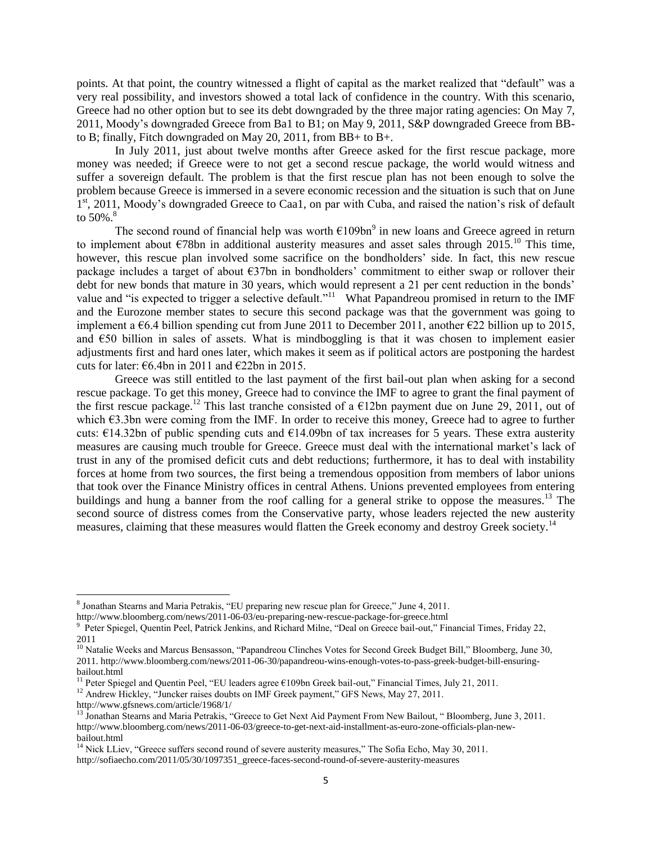points. At that point, the country witnessed a flight of capital as the market realized that "default" was a very real possibility, and investors showed a total lack of confidence in the country. With this scenario, Greece had no other option but to see its debt downgraded by the three major rating agencies: On May 7, 2011, Moody's downgraded Greece from Ba1 to B1; on May 9, 2011, S&P downgraded Greece from BBto B; finally, Fitch downgraded on May 20, 2011, from BB+ to B+.

In July 2011, just about twelve months after Greece asked for the first rescue package, more money was needed; if Greece were to not get a second rescue package, the world would witness and suffer a sovereign default. The problem is that the first rescue plan has not been enough to solve the problem because Greece is immersed in a severe economic recession and the situation is such that on June  $1<sup>st</sup>$ , 2011, Moody's downgraded Greece to Caa1, on par with Cuba, and raised the nation's risk of default to  $50\%$ .<sup>8</sup>

The second round of financial help was worth  $E109bn<sup>9</sup>$  in new loans and Greece agreed in return to implement about  $\epsilon$ 78bn in additional austerity measures and asset sales through 2015.<sup>10</sup> This time, however, this rescue plan involved some sacrifice on the bondholders' side. In fact, this new rescue package includes a target of about  $\epsilon$ 37bn in bondholders' commitment to either swap or rollover their debt for new bonds that mature in 30 years, which would represent a 21 per cent reduction in the bonds' value and "is expected to trigger a selective default."<sup>11</sup> What Papandreou promised in return to the IMF and the Eurozone member states to secure this second package was that the government was going to implement a  $\epsilon$ 6.4 billion spending cut from June 2011 to December 2011, another  $\epsilon$ 22 billion up to 2015, and  $\epsilon$ 50 billion in sales of assets. What is mindboggling is that it was chosen to implement easier adjustments first and hard ones later, which makes it seem as if political actors are postponing the hardest cuts for later:  $\epsilon$ 6.4bn in 2011 and  $\epsilon$ 22bn in 2015.

Greece was still entitled to the last payment of the first bail-out plan when asking for a second rescue package. To get this money, Greece had to convince the IMF to agree to grant the final payment of the first rescue package.<sup>12</sup> This last tranche consisted of a  $\epsilon$ 12bn payment due on June 29, 2011, out of which €3.3bn were coming from the IMF. In order to receive this money, Greece had to agree to further cuts:  $\epsilon$ 14.32bn of public spending cuts and  $\epsilon$ 14.09bn of tax increases for 5 years. These extra austerity measures are causing much trouble for Greece. Greece must deal with the international market's lack of trust in any of the promised deficit cuts and debt reductions; furthermore, it has to deal with instability forces at home from two sources, the first being a tremendous opposition from members of labor unions that took over the Finance Ministry offices in central Athens. Unions prevented employees from entering buildings and hung a banner from the roof calling for a general strike to oppose the measures.<sup>13</sup> The second source of distress comes from the Conservative party, whose leaders rejected the new austerity measures, claiming that these measures would flatten the Greek economy and destroy Greek society.<sup>14</sup>

 $\overline{a}$ 

 $8$  Jonathan Stearns and Maria Petrakis, "EU preparing new rescue plan for Greece," June 4, 2011.

http://www.bloomberg.com/news/2011-06-03/eu-preparing-new-rescue-package-for-greece.html

<sup>&</sup>lt;sup>9</sup> Peter Spiegel, Quentin Peel, Patrick Jenkins, and Richard Milne, "Deal on Greece bail-out," Financial Times, Friday 22, 2011

<sup>&</sup>lt;sup>10</sup> Natalie Weeks and Marcus Bensasson, "Papandreou Clinches Votes for Second Greek Budget Bill," Bloomberg, June 30, 2011. http://www.bloomberg.com/news/2011-06-30/papandreou-wins-enough-votes-to-pass-greek-budget-bill-ensuringbailout.html

<sup>&</sup>lt;sup>11</sup> Peter Spiegel and Quentin Peel, "EU leaders agree  $£109$ bn Greek bail-out," Financial Times, July 21, 2011.

<sup>&</sup>lt;sup>12</sup> Andrew Hickley, "Juncker raises doubts on IMF Greek payment," GFS News, May 27, 2011.

http://www.gfsnews.com/article/1968/1/

 $13$  Jonathan Stearns and Maria Petrakis, "Greece to Get Next Aid Payment From New Bailout, "Bloomberg, June 3, 2011. http://www.bloomberg.com/news/2011-06-03/greece-to-get-next-aid-installment-as-euro-zone-officials-plan-newbailout.html

<sup>&</sup>lt;sup>14</sup> Nick LLiev, "Greece suffers second round of severe austerity measures," The Sofia Echo, May 30, 2011.

http://sofiaecho.com/2011/05/30/1097351\_greece-faces-second-round-of-severe-austerity-measures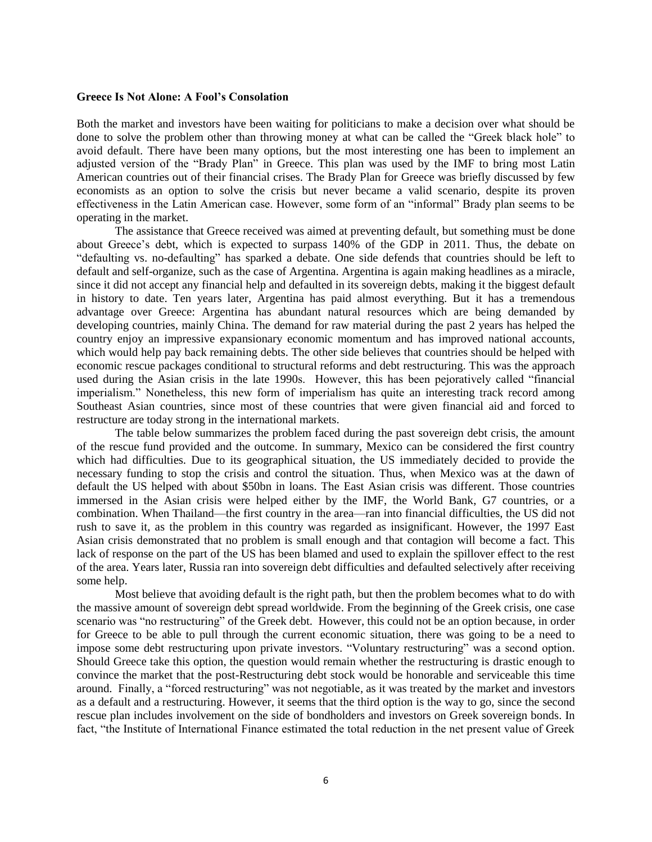#### **Greece Is Not Alone: A Fool's Consolation**

Both the market and investors have been waiting for politicians to make a decision over what should be done to solve the problem other than throwing money at what can be called the "Greek black hole" to avoid default. There have been many options, but the most interesting one has been to implement an adjusted version of the "Brady Plan" in Greece. This plan was used by the IMF to bring most Latin American countries out of their financial crises. The Brady Plan for Greece was briefly discussed by few economists as an option to solve the crisis but never became a valid scenario, despite its proven effectiveness in the Latin American case. However, some form of an "informal" Brady plan seems to be operating in the market.

The assistance that Greece received was aimed at preventing default, but something must be done about Greece's debt, which is expected to surpass 140% of the GDP in 2011. Thus, the debate on "defaulting vs. no-defaulting" has sparked a debate. One side defends that countries should be left to default and self-organize, such as the case of Argentina. Argentina is again making headlines as a miracle, since it did not accept any financial help and defaulted in its sovereign debts, making it the biggest default in history to date. Ten years later, Argentina has paid almost everything. But it has a tremendous advantage over Greece: Argentina has abundant natural resources which are being demanded by developing countries, mainly China. The demand for raw material during the past 2 years has helped the country enjoy an impressive expansionary economic momentum and has improved national accounts, which would help pay back remaining debts. The other side believes that countries should be helped with economic rescue packages conditional to structural reforms and debt restructuring. This was the approach used during the Asian crisis in the late 1990s. However, this has been pejoratively called "financial" imperialism." Nonetheless, this new form of imperialism has quite an interesting track record among Southeast Asian countries, since most of these countries that were given financial aid and forced to restructure are today strong in the international markets.

The table below summarizes the problem faced during the past sovereign debt crisis, the amount of the rescue fund provided and the outcome. In summary, Mexico can be considered the first country which had difficulties. Due to its geographical situation, the US immediately decided to provide the necessary funding to stop the crisis and control the situation. Thus, when Mexico was at the dawn of default the US helped with about \$50bn in loans. The East Asian crisis was different. Those countries immersed in the Asian crisis were helped either by the IMF, the World Bank, G7 countries, or a combination. When Thailand—the first country in the area—ran into financial difficulties, the US did not rush to save it, as the problem in this country was regarded as insignificant. However, the 1997 East Asian crisis demonstrated that no problem is small enough and that contagion will become a fact. This lack of response on the part of the US has been blamed and used to explain the spillover effect to the rest of the area. Years later, Russia ran into sovereign debt difficulties and defaulted selectively after receiving some help.

Most believe that avoiding default is the right path, but then the problem becomes what to do with the massive amount of sovereign debt spread worldwide. From the beginning of the Greek crisis, one case scenario was "no restructuring" of the Greek debt. However, this could not be an option because, in order for Greece to be able to pull through the current economic situation, there was going to be a need to impose some debt restructuring upon private investors. "Voluntary restructuring" was a second option. Should Greece take this option, the question would remain whether the restructuring is drastic enough to convince the market that the post-Restructuring debt stock would be honorable and serviceable this time around. Finally, a "forced restructuring" was not negotiable, as it was treated by the market and investors as a default and a restructuring. However, it seems that the third option is the way to go, since the second rescue plan includes involvement on the side of bondholders and investors on Greek sovereign bonds. In fact, "the Institute of International Finance estimated the total reduction in the net present value of Greek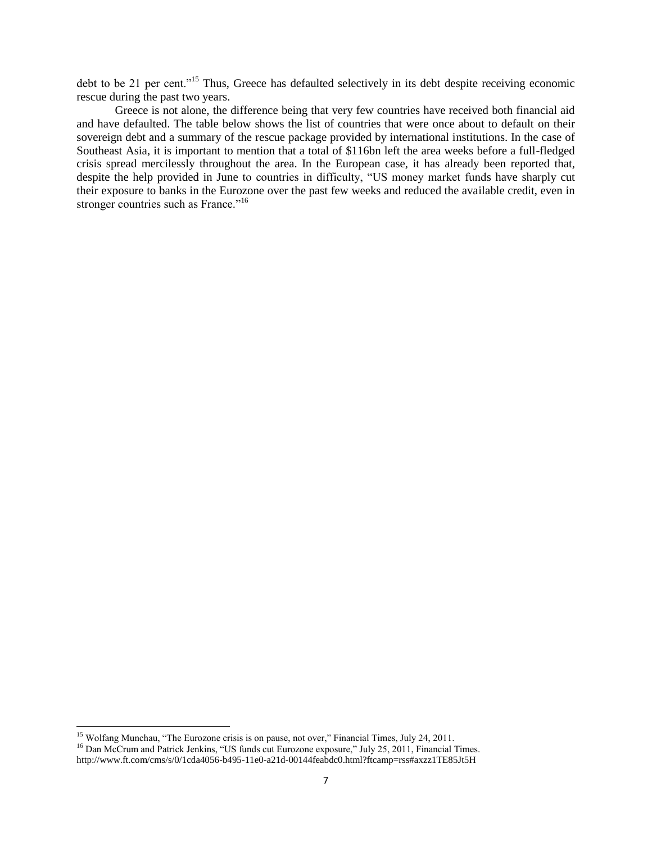debt to be 21 per cent."<sup>15</sup> Thus, Greece has defaulted selectively in its debt despite receiving economic rescue during the past two years.

Greece is not alone, the difference being that very few countries have received both financial aid and have defaulted. The table below shows the list of countries that were once about to default on their sovereign debt and a summary of the rescue package provided by international institutions. In the case of Southeast Asia, it is important to mention that a total of \$116bn left the area weeks before a full-fledged crisis spread mercilessly throughout the area. In the European case, it has already been reported that, despite the help provided in June to countries in difficulty, "US money market funds have sharply cut their exposure to banks in the Eurozone over the past few weeks and reduced the available credit, even in stronger countries such as France."<sup>16</sup>

<sup>&</sup>lt;sup>15</sup> Wolfang Munchau, "The Eurozone crisis is on pause, not over," Financial Times, July 24, 2011.

<sup>&</sup>lt;sup>16</sup> Dan McCrum and Patrick Jenkins, "US funds cut Eurozone exposure," July 25, 2011, Financial Times. http://www.ft.com/cms/s/0/1cda4056-b495-11e0-a21d-00144feabdc0.html?ftcamp=rss#axzz1TE85Jt5H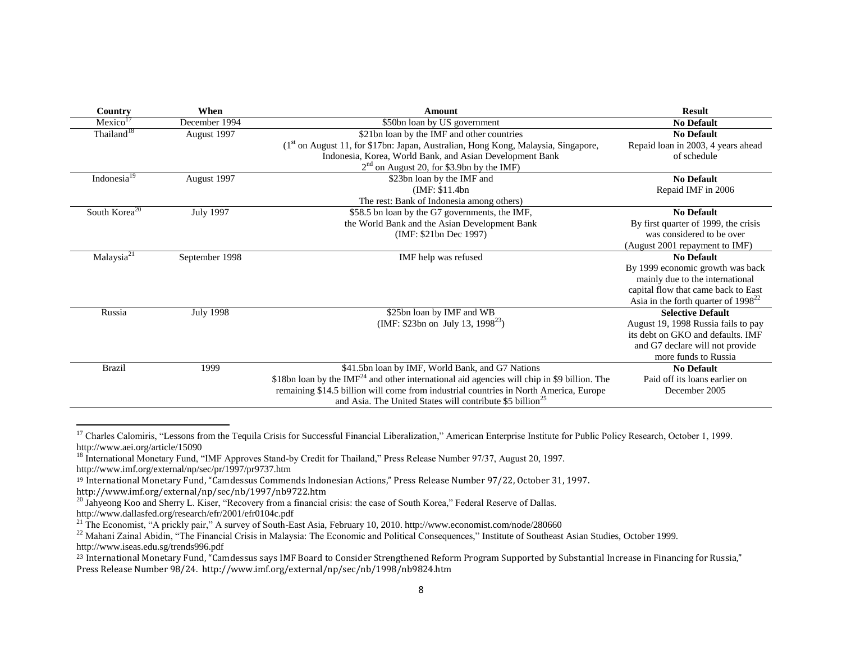| Country                   | When             | Amount                                                                                                    | <b>Result</b>                            |
|---------------------------|------------------|-----------------------------------------------------------------------------------------------------------|------------------------------------------|
| Mexico <sup>17</sup>      | December 1994    | \$50bn loan by US government                                                                              | <b>No Default</b>                        |
| Thailand <sup>18</sup>    | August 1997      | \$21bn loan by the IMF and other countries                                                                | <b>No Default</b>                        |
|                           |                  | (1st on August 11, for \$17bn: Japan, Australian, Hong Kong, Malaysia, Singapore,                         | Repaid loan in 2003, 4 years ahead       |
|                           |                  | Indonesia, Korea, World Bank, and Asian Development Bank                                                  | of schedule                              |
|                           |                  | $2nd$ on August 20, for \$3.9bn by the IMF)                                                               |                                          |
| Indonesia <sup>19</sup>   | August 1997      | \$23bn loan by the IMF and                                                                                | <b>No Default</b>                        |
|                           |                  | (IMF: \$11.4bn)                                                                                           | Repaid IMF in 2006                       |
|                           |                  | The rest: Bank of Indonesia among others)                                                                 |                                          |
| South Korea <sup>20</sup> | <b>July 1997</b> | \$58.5 bn loan by the G7 governments, the IMF,                                                            | <b>No Default</b>                        |
|                           |                  | the World Bank and the Asian Development Bank                                                             | By first quarter of 1999, the crisis     |
|                           |                  | (IMF: \$21bn Dec 1997)                                                                                    | was considered to be over                |
|                           |                  |                                                                                                           | (August 2001 repayment to IMF)           |
| Malaysia <sup>21</sup>    | September 1998   | IMF help was refused                                                                                      | <b>No Default</b>                        |
|                           |                  |                                                                                                           | By 1999 economic growth was back         |
|                           |                  |                                                                                                           | mainly due to the international          |
|                           |                  |                                                                                                           | capital flow that came back to East      |
|                           |                  |                                                                                                           | Asia in the forth quarter of $1998^{22}$ |
| Russia                    | <b>July 1998</b> | \$25bn loan by IMF and WB                                                                                 | <b>Selective Default</b>                 |
|                           |                  | (IMF: \$23bn on July 13, 1998 <sup>23</sup> )                                                             | August 19, 1998 Russia fails to pay      |
|                           |                  |                                                                                                           | its debt on GKO and defaults. IMF        |
|                           |                  |                                                                                                           | and G7 declare will not provide          |
|                           |                  |                                                                                                           | more funds to Russia                     |
| <b>Brazil</b>             | 1999             | \$41.5bn loan by IMF, World Bank, and G7 Nations                                                          | <b>No Default</b>                        |
|                           |                  | $$18$ bn loan by the IMF <sup>24</sup> and other international aid agencies will chip in \$9 billion. The | Paid off its loans earlier on            |
|                           |                  | remaining \$14.5 billion will come from industrial countries in North America, Europe                     | December 2005                            |
|                           |                  | and Asia. The United States will contribute \$5 billion <sup>25</sup>                                     |                                          |

<sup>&</sup>lt;sup>17</sup> Charles Calomiris, "Lessons from the Tequila Crisis for Successful Financial Liberalization," American Enterprise Institute for Public Policy Research, October 1, 1999. http://www.aei.org/article/15090

http://www.imf.org/external/np/sec/nb/1997/nb9722.htm

<sup>&</sup>lt;sup>18</sup> International Monetary Fund, "IMF Approves Stand-by Credit for Thailand," Press Release Number 97/37, August 20, 1997. http://www.imf.org/external/np/sec/pr/1997/pr9737.htm

<sup>19</sup> International Monetary Fund, "Camdessus Commends Indonesian Actions," Press Release Number 97/22, October 31, 1997.

<sup>&</sup>lt;sup>20</sup> Jahyeong Koo and Sherry L. Kiser, "Recovery from a financial crisis: the case of South Korea," Federal Reserve of Dallas.

http://www.dallasfed.org/research/efr/2001/efr0104c.pdf

<sup>&</sup>lt;sup>21</sup> The Economist, "A prickly pair," A survey of South-East Asia, February 10, 2010. http://www.economist.com/node/280660

 $^{22}$  Mahani Zainal Abidin, "The Financial Crisis in Malaysia: The Economic and Political Consequences," Institute of Southeast Asian Studies, October 1999. http://www.iseas.edu.sg/trends996.pdf

<sup>&</sup>lt;sup>23</sup> International Monetary Fund, "Camdessus says IMF Board to Consider Strengthened Reform Program Supported by Substantial Increase in Financing for Russia," Press Release Number 98/24. http://www.imf.org/external/np/sec/nb/1998/nb9824.htm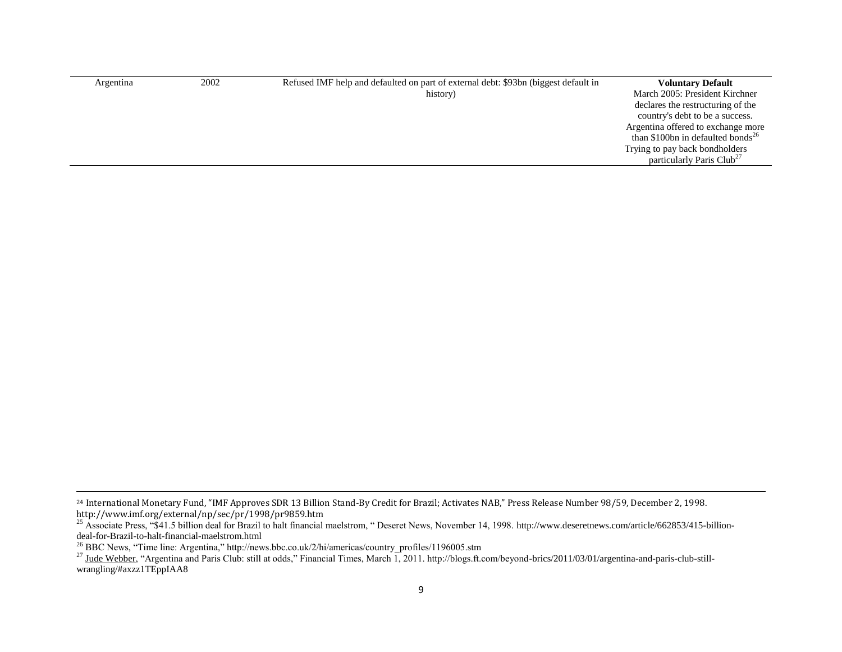| Argentina | 2002 | Refused IMF help and defaulted on part of external debt: \$93bn (biggest default in | <b>Voluntary Default</b>                      |
|-----------|------|-------------------------------------------------------------------------------------|-----------------------------------------------|
|           |      | history)                                                                            | March 2005: President Kirchner                |
|           |      |                                                                                     | declares the restructuring of the             |
|           |      |                                                                                     | country's debt to be a success.               |
|           |      |                                                                                     | Argentina offered to exchange more            |
|           |      |                                                                                     | than \$100bn in defaulted bonds <sup>26</sup> |
|           |      |                                                                                     | Trying to pay back bondholders                |
|           |      |                                                                                     | particularly Paris Club <sup>27</sup>         |
|           |      |                                                                                     |                                               |

 $\overline{a}$ 

<sup>24</sup> International Monetary Fund, "IMF Approves SDR 13 Billion Stand-By Credit for Brazil; Activates NAB," Press Release Number 98/59, December 2, 1998. http://www.imf.org/external/np/sec/pr/1998/pr9859.htm

<sup>&</sup>lt;sup>25</sup> Associate Press, "\$41.5 billion deal for Brazil to halt financial maelstrom, "Deseret News, November 14, 1998. http://www.deseretnews.com/article/662853/415-billiondeal-for-Brazil-to-halt-financial-maelstrom.html

<sup>&</sup>lt;sup>26</sup> BBC News, "Time line: Argentina," http://news.bbc.co.uk/2/hi/americas/country\_profiles/1196005.stm

<sup>&</sup>lt;sup>27</sup> [Jude Webber,](http://blogs.ft.com/beyond-brics/author/judewebber/) "Argentina and Paris Club: still at odds," Financial Times, March 1, 2011. http://blogs.ft.com/beyond-brics/2011/03/01/argentina-and-paris-club-stillwrangling/#axzz1TEppIAA8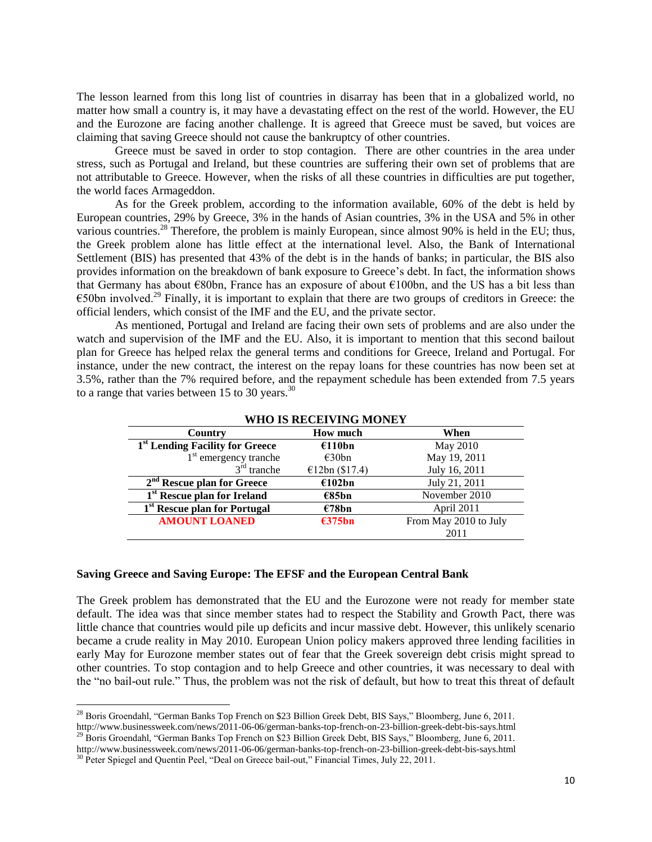The lesson learned from this long list of countries in disarray has been that in a globalized world, no matter how small a country is, it may have a devastating effect on the rest of the world. However, the EU and the Eurozone are facing another challenge. It is agreed that Greece must be saved, but voices are claiming that saving Greece should not cause the bankruptcy of other countries.

Greece must be saved in order to stop contagion. There are other countries in the area under stress, such as Portugal and Ireland, but these countries are suffering their own set of problems that are not attributable to Greece. However, when the risks of all these countries in difficulties are put together, the world faces Armageddon.

As for the Greek problem, according to the information available, 60% of the debt is held by European countries, 29% by Greece, 3% in the hands of Asian countries, 3% in the USA and 5% in other various countries.<sup>28</sup> Therefore, the problem is mainly European, since almost 90% is held in the EU; thus, the Greek problem alone has little effect at the international level. Also, the Bank of International Settlement (BIS) has presented that 43% of the debt is in the hands of banks; in particular, the BIS also provides information on the breakdown of bank exposure to Greece's debt. In fact, the information shows that Germany has about €80bn, France has an exposure of about €100bn, and the US has a bit less than  $\epsilon$ 50bn involved.<sup>29</sup> Finally, it is important to explain that there are two groups of creditors in Greece: the official lenders, which consist of the IMF and the EU, and the private sector.

As mentioned, Portugal and Ireland are facing their own sets of problems and are also under the watch and supervision of the IMF and the EU. Also, it is important to mention that this second bailout plan for Greece has helped relax the general terms and conditions for Greece, Ireland and Portugal. For instance, under the new contract, the interest on the repay loans for these countries has now been set at 3.5%, rather than the 7% required before, and the repayment schedule has been extended from 7.5 years to a range that varies between 15 to 30 years.<sup>30</sup>

| лио в кесет пло монет                      |                  |                       |  |  |
|--------------------------------------------|------------------|-----------------------|--|--|
| Country                                    | <b>How much</b>  | When                  |  |  |
| <sup>1st</sup> Lending Facility for Greece | €110bn           | May 2010              |  |  |
| 1 <sup>st</sup> emergency tranche          | $\epsilon$ 30bn  | May 19, 2011          |  |  |
| $3rd$ tranche                              | €12bn $(\$17.4)$ | July 16, 2011         |  |  |
| $2nd$ Rescue plan for Greece               | €102bn           | July 21, 2011         |  |  |
| 1 <sup>st</sup> Rescue plan for Ireland    | €85bn            | November 2010         |  |  |
| 1 <sup>st</sup> Rescue plan for Portugal   | €78bn            | April 2011            |  |  |
| <b>AMOUNT LOANED</b>                       | €375bn           | From May 2010 to July |  |  |
|                                            |                  | 2011                  |  |  |

**WHO IS RECEIVING MONEY**

# **Saving Greece and Saving Europe: The EFSF and the European Central Bank**

The Greek problem has demonstrated that the EU and the Eurozone were not ready for member state default. The idea was that since member states had to respect the Stability and Growth Pact, there was little chance that countries would pile up deficits and incur massive debt. However, this unlikely scenario became a crude reality in May 2010. European Union policy makers approved three lending facilities in early May for Eurozone member states out of fear that the Greek sovereign debt crisis might spread to other countries. To stop contagion and to help Greece and other countries, it was necessary to deal with the "no bail-out rule." Thus, the problem was not the risk of default, but how to treat this threat of default

<sup>&</sup>lt;sup>28</sup> Boris Groendahl, "German Banks Top French on \$23 Billion Greek Debt, BIS Says," Bloomberg, June 6, 2011. http://www.businessweek.com/news/2011-06-06/german-banks-top-french-on-23-billion-greek-debt-bis-says.html <sup>29</sup> Boris Groendahl, "German Banks Top French on \$23 Billion Greek Debt, BIS Says," Bloomberg, June 6, 2011.

http://www.businessweek.com/news/2011-06-06/german-banks-top-french-on-23-billion-greek-debt-bis-says.html

<sup>&</sup>lt;sup>30</sup> Peter Spiegel and Quentin Peel, "Deal on Greece bail-out," Financial Times, July 22, 2011.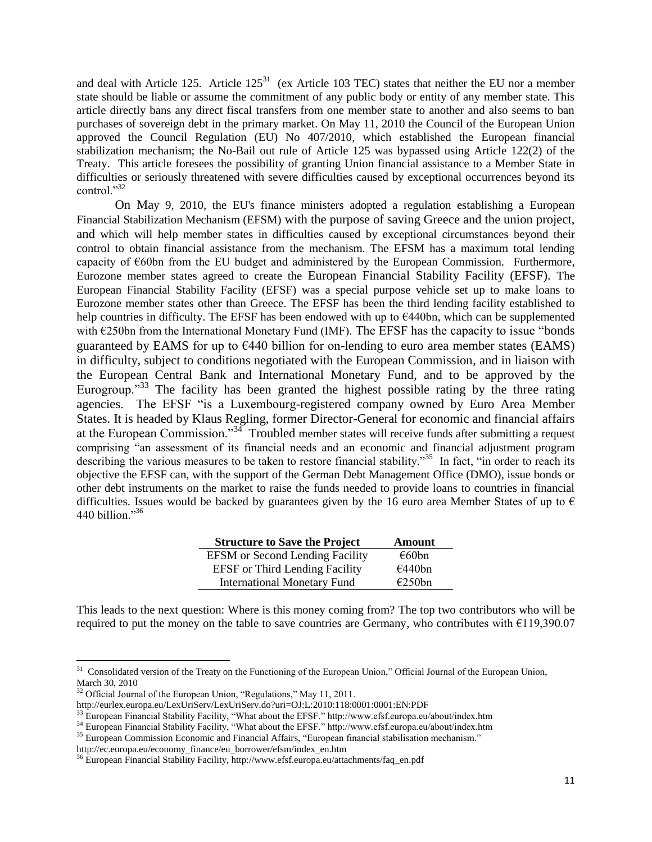and deal with Article 125. Article  $125<sup>31</sup>$  (ex Article 103 TEC) states that neither the EU nor a member state should be liable or assume the commitment of any public body or entity of any member state. This article directly bans any direct fiscal transfers from one member state to another and also seems to ban purchases of sovereign debt in the primary market. On May 11, 2010 the Council of the European Union approved the Council Regulation (EU) No 407/2010, which established the European financial stabilization mechanism; the No-Bail out rule of Article 125 was bypassed using Article 122(2) of the Treaty. This article foresees the possibility of granting Union financial assistance to a Member State in difficulties or seriously threatened with severe difficulties caused by exceptional occurrences beyond its control." $32$ 

On May 9, 2010, the EU's finance ministers adopted a regulation establishing a European Financial Stabilization Mechanism (EFSM) with the purpose of saving Greece and the union project, and which will help member states in difficulties caused by exceptional circumstances beyond their control to obtain financial assistance from the mechanism. The EFSM has a maximum total lending capacity of €60bn from the EU budget and administered by the European Commission. Furthermore, Eurozone member states agreed to create the European Financial Stability Facility (EFSF). The European Financial Stability Facility (EFSF) was a special purpose vehicle set up to make loans to Eurozone member states other than Greece. The EFSF has been the third lending facility established to help countries in difficulty. The EFSF has been endowed with up to  $\epsilon$ 440bn, which can be supplemented with  $E250$ bn from the International Monetary Fund (IMF). The EFSF has the capacity to issue "bonds" guaranteed by EAMS for up to  $E440$  billion for on-lending to euro area member states (EAMS) in difficulty, subject to conditions negotiated with the European Commission, and in liaison with the European Central Bank and International Monetary Fund, and to be approved by the Eurogroup.<sup>33</sup> The facility has been granted the highest possible rating by the three rating agencies. The EFSF "is a Luxembourg-registered company owned by Euro Area Member States. It is headed by Klaus Regling, former Director-General for economic and financial affairs at the European Commission." $34$  Troubled member states will receive funds after submitting a request comprising "an assessment of its financial needs and an economic and financial adjustment program describing the various measures to be taken to restore financial stability."<sup>35</sup> In fact, "in order to reach its objective the EFSF can, with the support of the German Debt Management Office (DMO), issue bonds or other debt instruments on the market to raise the funds needed to provide loans to countries in financial difficulties. Issues would be backed by guarantees given by the 16 euro area Member States of up to  $\epsilon$ 440 billion." $36$ 

| <b>Structure to Save the Project</b>   | <b>Amount</b> |
|----------------------------------------|---------------|
| <b>EFSM</b> or Second Lending Facility | €60bn         |
| <b>EFSF</b> or Third Lending Facility  | €440bn        |
| <b>International Monetary Fund</b>     | E250bn        |

This leads to the next question: Where is this money coming from? The top two contributors who will be required to put the money on the table to save countries are Germany, who contributes with  $\epsilon$ 119,390.07

<sup>&</sup>lt;sup>31</sup> Consolidated version of the Treaty on the Functioning of the European Union," Official Journal of the European Union, March 30, 2010

 $32$  Official Journal of the European Union, "Regulations," May 11, 2011.

http://eurlex.europa.eu/LexUriServ/LexUriServ.do?uri=OJ:L:2010:118:0001:0001:EN:PDF

 $33$  European Financial Stability Facility, "What about the EFSF." http://www.efsf.europa.eu/about/index.htm

<sup>&</sup>lt;sup>34</sup> European Financial Stability Facility, "What about the EFSF." http://www.efsf.europa.eu/about/index.htm

<sup>&</sup>lt;sup>35</sup> European Commission Economic and Financial Affairs, "European financial stabilisation mechanism."

http://ec.europa.eu/economy\_finance/eu\_borrower/efsm/index\_en.htm

<sup>&</sup>lt;sup>36</sup> European Financial Stability Facility, http://www.efsf.europa.eu/attachments/faq\_en.pdf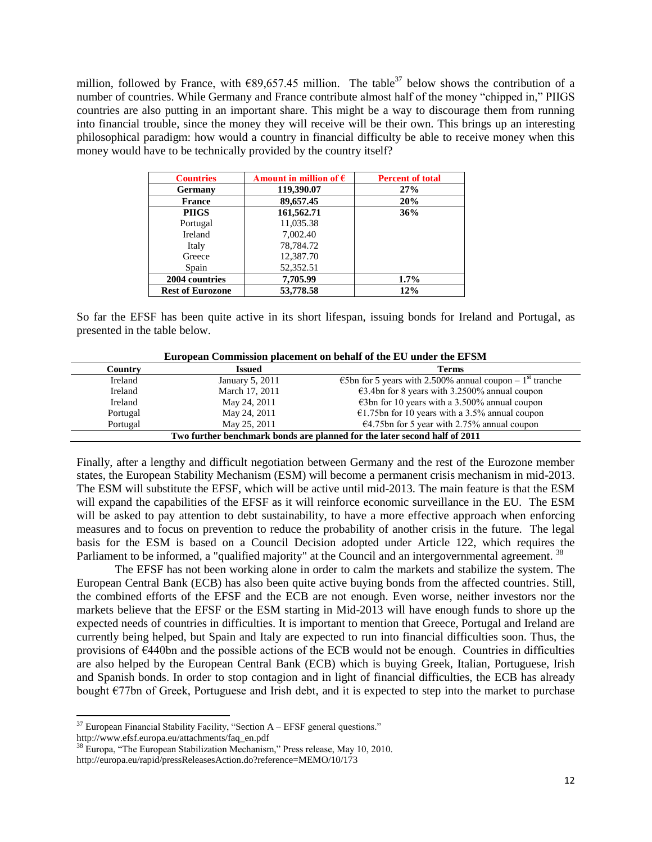million, followed by France, with  $\epsilon$ 89,657.45 million. The table<sup>37</sup> below shows the contribution of a number of countries. While Germany and France contribute almost half of the money "chipped in," PIIGS countries are also putting in an important share. This might be a way to discourage them from running into financial trouble, since the money they will receive will be their own. This brings up an interesting philosophical paradigm: how would a country in financial difficulty be able to receive money when this money would have to be technically provided by the country itself?

| <b>Countries</b>        | Amount in million of $\epsilon$ | <b>Percent of total</b> |
|-------------------------|---------------------------------|-------------------------|
| Germany                 | 119,390.07                      | 27%                     |
| <b>France</b>           | 89,657.45                       | 20%                     |
| <b>PIIGS</b>            | 161,562.71                      | 36%                     |
| Portugal                | 11,035.38                       |                         |
| Ireland                 | 7,002.40                        |                         |
| Italy                   | 78,784.72                       |                         |
| Greece                  | 12,387.70                       |                         |
| Spain                   | 52,352.51                       |                         |
| 2004 countries          | 7,705.99                        | $1.7\%$                 |
| <b>Rest of Eurozone</b> | 53,778.58                       | 12%                     |

So far the EFSF has been quite active in its short lifespan, issuing bonds for Ireland and Portugal, as presented in the table below.

| Country                                                                   | <b>Issued</b>   | <b>Terms</b>                                                                   |  |
|---------------------------------------------------------------------------|-----------------|--------------------------------------------------------------------------------|--|
| Ireland                                                                   | January 5, 2011 | $\epsilon$ 5bn for 5 years with 2.500% annual coupon – 1 <sup>st</sup> tranche |  |
| Ireland                                                                   | March 17, 2011  | $\epsilon$ 3.4bn for 8 years with 3.2500% annual coupon                        |  |
| Ireland                                                                   | May 24, 2011    | $\epsilon$ 3bn for 10 years with a 3.500% annual coupon                        |  |
| Portugal                                                                  | May 24, 2011    | €1.75bn for 10 years with a 3.5% annual coupon                                 |  |
| Portugal                                                                  | May 25, 2011    | $\epsilon$ 4.75bn for 5 year with 2.75% annual coupon                          |  |
| Two further benchmark bonds are planned for the later second half of 2011 |                 |                                                                                |  |

**European Commission placement on behalf of the EU under the EFSM**

Finally, after a lengthy and difficult negotiation between Germany and the rest of the Eurozone member states, the European Stability Mechanism (ESM) will become a permanent crisis mechanism in mid-2013. The ESM will substitute the EFSF, which will be active until mid-2013. The main feature is that the ESM will expand the capabilities of the EFSF as it will reinforce economic surveillance in the EU. The ESM will be asked to pay attention to debt sustainability, to have a more effective approach when enforcing measures and to focus on prevention to reduce the probability of another crisis in the future. The legal basis for the ESM is based on a Council Decision adopted under Article 122, which requires the Parliament to be informed, a "qualified majority" at the Council and an intergovernmental agreement. <sup>38</sup>

The EFSF has not been working alone in order to calm the markets and stabilize the system. The European Central Bank (ECB) has also been quite active buying bonds from the affected countries. Still, the combined efforts of the EFSF and the ECB are not enough. Even worse, neither investors nor the markets believe that the EFSF or the ESM starting in Mid-2013 will have enough funds to shore up the expected needs of countries in difficulties. It is important to mention that Greece, Portugal and Ireland are currently being helped, but Spain and Italy are expected to run into financial difficulties soon. Thus, the provisions of €440bn and the possible actions of the ECB would not be enough. Countries in difficulties are also helped by the European Central Bank (ECB) which is buying Greek, Italian, Portuguese, Irish and Spanish bonds. In order to stop contagion and in light of financial difficulties, the ECB has already bought  $\epsilon$ 77bn of Greek, Portuguese and Irish debt, and it is expected to step into the market to purchase

 $37$  European Financial Stability Facility, "Section A – EFSF general questions." http://www.efsf.europa.eu/attachments/faq\_en.pdf

 $38$  Europa, "The European Stabilization Mechanism," Press release, May 10, 2010. http://europa.eu/rapid/pressReleasesAction.do?reference=MEMO/10/173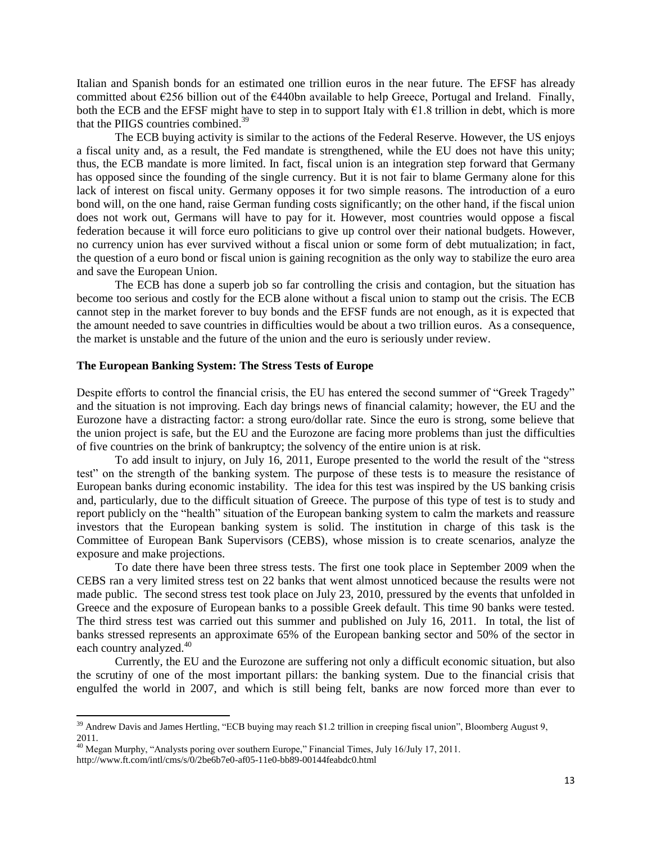Italian and Spanish bonds for an estimated one trillion euros in the near future. The EFSF has already committed about  $\epsilon$ 256 billion out of the  $\epsilon$ 440bn available to help Greece, Portugal and Ireland. Finally, both the ECB and the EFSF might have to step in to support Italy with  $\epsilon$ 1.8 trillion in debt, which is more that the PIIGS countries combined.<sup>39</sup>

The ECB buying activity is similar to the actions of the Federal Reserve. However, the US enjoys a fiscal unity and, as a result, the Fed mandate is strengthened, while the EU does not have this unity; thus, the ECB mandate is more limited. In fact, fiscal union is an integration step forward that Germany has opposed since the founding of the single currency. But it is not fair to blame Germany alone for this lack of interest on fiscal unity. Germany opposes it for two simple reasons. The introduction of a euro bond will, on the one hand, raise German funding costs significantly; on the other hand, if the fiscal union does not work out, Germans will have to pay for it. However, most countries would oppose a fiscal federation because it will force euro politicians to give up control over their national budgets. However, no currency union has ever survived without a fiscal union or some form of debt mutualization; in fact, the question of a euro bond or fiscal union is gaining recognition as the only way to stabilize the euro area and save the European Union.

The ECB has done a superb job so far controlling the crisis and contagion, but the situation has become too serious and costly for the ECB alone without a fiscal union to stamp out the crisis. The ECB cannot step in the market forever to buy bonds and the EFSF funds are not enough, as it is expected that the amount needed to save countries in difficulties would be about a two trillion euros. As a consequence, the market is unstable and the future of the union and the euro is seriously under review.

### **The European Banking System: The Stress Tests of Europe**

Despite efforts to control the financial crisis, the EU has entered the second summer of "Greek Tragedy" and the situation is not improving. Each day brings news of financial calamity; however, the EU and the Eurozone have a distracting factor: a strong euro/dollar rate. Since the euro is strong, some believe that the union project is safe, but the EU and the Eurozone are facing more problems than just the difficulties of five countries on the brink of bankruptcy; the solvency of the entire union is at risk.

To add insult to injury, on July 16, 2011, Europe presented to the world the result of the "stress" test" on the strength of the banking system. The purpose of these tests is to measure the resistance of European banks during economic instability. The idea for this test was inspired by the US banking crisis and, particularly, due to the difficult situation of Greece. The purpose of this type of test is to study and report publicly on the "health" situation of the European banking system to calm the markets and reassure investors that the European banking system is solid. The institution in charge of this task is the Committee of European Bank Supervisors (CEBS), whose mission is to create scenarios, analyze the exposure and make projections.

To date there have been three stress tests. The first one took place in September 2009 when the CEBS ran a very limited stress test on 22 banks that went almost unnoticed because the results were not made public. The second stress test took place on July 23, 2010, pressured by the events that unfolded in Greece and the exposure of European banks to a possible Greek default. This time 90 banks were tested. The third stress test was carried out this summer and published on July 16, 2011. In total, the list of banks stressed represents an approximate 65% of the European banking sector and 50% of the sector in each country analyzed.<sup>40</sup>

Currently, the EU and the Eurozone are suffering not only a difficult economic situation, but also the scrutiny of one of the most important pillars: the banking system. Due to the financial crisis that engulfed the world in 2007, and which is still being felt, banks are now forced more than ever to

<sup>&</sup>lt;sup>39</sup> Andrew Davis and James Hertling, "ECB buying may reach \$1.2 trillion in creeping fiscal union", Bloomberg August 9, 2011.

<sup>&</sup>lt;sup>40</sup> Megan Murphy, "Analysts poring over southern Europe," Financial Times, July 16/July 17, 2011.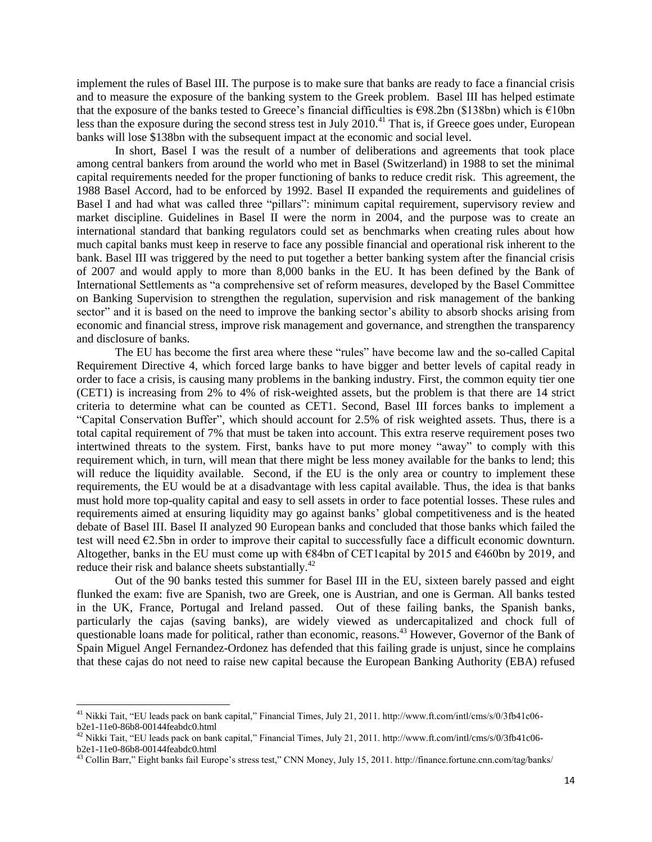implement the rules of Basel III. The purpose is to make sure that banks are ready to face a financial crisis and to measure the exposure of the banking system to the Greek problem. Basel III has helped estimate that the exposure of the banks tested to Greece's financial difficulties is  $\epsilon$ 98.2bn (\$138bn) which is  $\epsilon$ 10bn less than the exposure of the cumulative test is contracted to contract a multiple of the second stress test in July 2010.<sup>41</sup> That is, if Greece goes under, European banks will lose \$138bn with the subsequent impact at the economic and social level.

In short, Basel I was the result of a number of deliberations and agreements that took place among central bankers from around the world who met in Basel (Switzerland) in 1988 to set the minimal capital requirements needed for the proper functioning of banks to reduce credit risk. This agreement, the 1988 Basel Accord, had to be enforced by 1992. Basel II expanded the requirements and guidelines of Basel I and had what was called three "pillars": minimum capital requirement, supervisory review and market discipline. Guidelines in Basel II were the norm in 2004, and the purpose was to create an international standard that banking regulators could set as benchmarks when creating rules about how much capital banks must keep in reserve to face any possible financial and operational risk inherent to the bank. Basel III was triggered by the need to put together a better banking system after the financial crisis of 2007 and would apply to more than 8,000 banks in the EU. It has been defined by the Bank of International Settlements as "a comprehensive set of reform measures, developed by the Basel Committee on Banking Supervision to strengthen the regulation, supervision and risk management of the banking sector" and it is based on the need to improve the banking sector's ability to absorb shocks arising from economic and financial stress, improve risk management and governance, and strengthen the transparency and disclosure of banks.

The EU has become the first area where these "rules" have become law and the so-called Capital Requirement Directive 4, which forced large banks to have bigger and better levels of capital ready in order to face a crisis, is causing many problems in the banking industry. First, the common equity tier one (CET1) is increasing from 2% to 4% of risk-weighted assets, but the problem is that there are 14 strict criteria to determine what can be counted as CET1. Second, Basel III forces banks to implement a ―Capital Conservation Buffer‖, which should account for 2.5% of risk weighted assets. Thus, there is a total capital requirement of 7% that must be taken into account. This extra reserve requirement poses two intertwined threats to the system. First, banks have to put more money "away" to comply with this requirement which, in turn, will mean that there might be less money available for the banks to lend; this will reduce the liquidity available. Second, if the EU is the only area or country to implement these requirements, the EU would be at a disadvantage with less capital available. Thus, the idea is that banks must hold more top-quality capital and easy to sell assets in order to face potential losses. These rules and requirements aimed at ensuring liquidity may go against banks' global competitiveness and is the heated debate of Basel III. Basel II analyzed 90 European banks and concluded that those banks which failed the test will need  $E2.5$ bn in order to improve their capital to successfully face a difficult economic downturn. Altogether, banks in the EU must come up with €84bn of CET1capital by 2015 and €460bn by 2019, and reduce their risk and balance sheets substantially.<sup>42</sup>

Out of the 90 banks tested this summer for Basel III in the EU, sixteen barely passed and eight flunked the exam: five are Spanish, two are Greek, one is Austrian, and one is German. All banks tested in the UK, France, Portugal and Ireland passed. Out of these failing banks, the Spanish banks, particularly the cajas (saving banks), are widely viewed as undercapitalized and chock full of questionable loans made for political, rather than economic, reasons.<sup>43</sup> However, Governor of the Bank of Spain Miguel Angel Fernandez-Ordonez has defended that this failing grade is unjust, since he complains that these cajas do not need to raise new capital because the European Banking Authority (EBA) refused

<sup>&</sup>lt;sup>41</sup> Nikki Tait, "EU leads pack on bank capital," Financial Times, July 21, 2011. http://www.ft.com/intl/cms/s/0/3fb41c06b2e1-11e0-86b8-00144feabdc0.html

<sup>&</sup>lt;sup>42</sup> Nikki Tait, "EU leads pack on bank capital," Financial Times, July 21, 2011. http://www.ft.com/intl/cms/s/0/3fb41c06b2e1-11e0-86b8-00144feabdc0.html

 $^{43}$  Collin Barr," Eight banks fail Europe's stress test," CNN Money, July 15, 2011. http://finance.fortune.cnn.com/tag/banks/